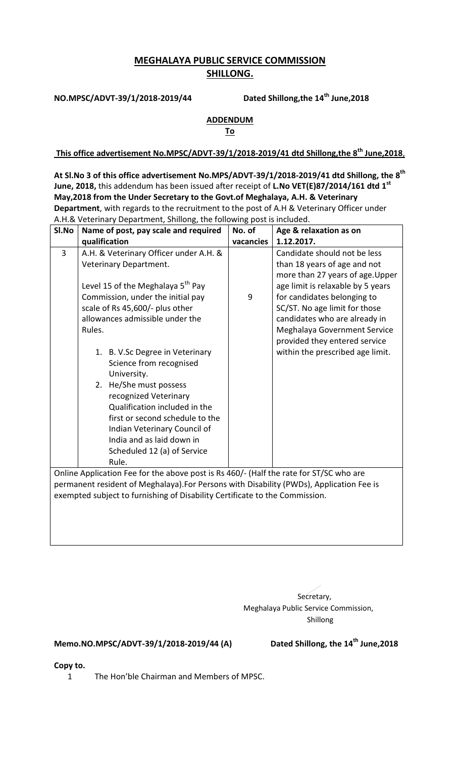## **MEGHALAYA PUBLIC SERVICE COMMISSION SHILLONG.**

**NO.MPSC/ADVT-39/1/2018-2019/44** 

Dated Shillong, the 14<sup>th</sup> June, 2018

## **ADDENDUM**

**To** 

**This office advertisement No.MPSC/ADVT-39/1/2018-2019/41 dtd Shillong,the 8th June,2018**,

**At Sl.No 3 of this office advertisement No.MPS/ADVT-39/1/2018-2019/41 dtd Shillong, the 8 th June, 2018,** this addendum has been issued after receipt of **L.No VET(E)87/2014/161 dtd 1st May,2018 from the Under Secretary to the Govt.of Meghalaya, A.H. & Veterinary Department**, with regards to the recruitment to the post of A.H & Veterinary Officer under A.H.& Veterinary Department, Shillong, the following post is included.

| SI.No                                                                                  | Name of post, pay scale and required          | No. of    | Age & relaxation as on            |
|----------------------------------------------------------------------------------------|-----------------------------------------------|-----------|-----------------------------------|
|                                                                                        | qualification                                 | vacancies | 1.12.2017.                        |
| $\overline{3}$                                                                         | A.H. & Veterinary Officer under A.H. &        |           | Candidate should not be less      |
|                                                                                        | Veterinary Department.                        |           | than 18 years of age and not      |
|                                                                                        |                                               |           | more than 27 years of age. Upper  |
|                                                                                        | Level 15 of the Meghalaya 5 <sup>th</sup> Pay |           | age limit is relaxable by 5 years |
|                                                                                        | Commission, under the initial pay             | 9         | for candidates belonging to       |
|                                                                                        | scale of Rs 45,600/- plus other               |           | SC/ST. No age limit for those     |
|                                                                                        | allowances admissible under the               |           | candidates who are already in     |
|                                                                                        | Rules.                                        |           | Meghalaya Government Service      |
|                                                                                        |                                               |           | provided they entered service     |
|                                                                                        | 1. B. V.Sc Degree in Veterinary               |           | within the prescribed age limit.  |
|                                                                                        | Science from recognised                       |           |                                   |
|                                                                                        | University.                                   |           |                                   |
|                                                                                        | He/She must possess<br>2.                     |           |                                   |
|                                                                                        | recognized Veterinary                         |           |                                   |
|                                                                                        | Qualification included in the                 |           |                                   |
|                                                                                        | first or second schedule to the               |           |                                   |
|                                                                                        | Indian Veterinary Council of                  |           |                                   |
|                                                                                        | India and as laid down in                     |           |                                   |
|                                                                                        | Scheduled 12 (a) of Service                   |           |                                   |
|                                                                                        | Rule.                                         |           |                                   |
| Online Application Fee for the above post is Rs 460/- (Half the rate for ST/SC who are |                                               |           |                                   |

permanent resident of Meghalaya).For Persons with Disability (PWDs), Application Fee is exempted subject to furnishing of Disability Certificate to the Commission.

> Secretary, Meghalaya Public Service Commission, Shillong

## **Memo.NO.MPSC/ADVT-39/1/2018-2019/44 (A)**

Dated Shillong, the 14<sup>th</sup> June, 2018

**Copy to.**

1 The Hon'ble Chairman and Members of MPSC.